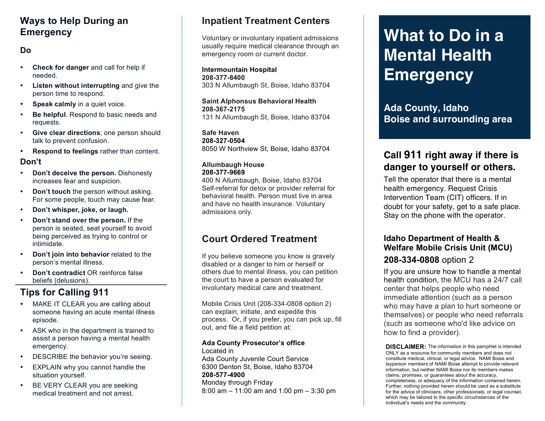### **Ways to Help During an Emergency**

### **Do**

- **Check for danger** and call for help if needed.
- **Listen without interrupting** and give the person time to respond.
- **Speak calmly** in a quiet voice.
- **Be helpful**. Respond to basic needs and requests.
- **Give clear directions**; one person should talk to prevent confusion.
- **Respond to feelings** rather than content.

### **Don't**

- **Don't deceive the person.** Dishonesty increases fear and suspicion.
- **Don't touch** the person without asking. For some people, touch may cause fear.
- **Don't whisper, joke, or laugh.**
- **Don't stand over the person.** If the person is seated, seat yourself to avoid being perceived as trying to control or intimidate.
- **Don't join into behavior** related to the person's mental illness.
- **Don't contradict** OR reinforce false beliefs (delusions).

## **Tips for Calling 911**

- MAKE IT CLEAR you are calling about someone having an acute mental illness episode.
- ASK who in the department is trained to assist a person having a mental health emergency.
- DESCRIBE the behavior you're seeing.
- EXPLAIN why you cannot handle the situation yourself.
- BE VERY CLEAR you are seeking medical treatment and not arrest.

## **Inpatient Treatment Centers**

Voluntary or involuntary inpatient admissions usually require medical clearance through an emergency room or current doctor.

**Intermountain Hospital 208-377-8400** 303 N Allumbaugh St, Boise, Idaho 83704

**Saint Alphonsus Behavioral Health 208-367-2175** 131 N Allumbaugh St, Boise, Idaho 83704

**Safe Haven 208-327-0504** 8050 W Northview St, Boise, Idaho 83704

### **Allumbaugh House 208-377-9669**

400 N Allumbaugh, Boise, Idaho 83704 Self-referral for detox or provider referral for behavioral health. Person must live in area and have no health insurance. Voluntary admissions only.

### **Court Ordered Treatment**

If you believe someone you know is gravely disabled or a danger to him or herself or others due to mental illness, you can petition the court to have a person evaluated for involuntary medical care and treatment.

Mobile Crisis Unit (208-334-0808 option 2) can explain, initiate, and expedite this process. Or, if you prefer, you can pick up, fill out, and file a field petition at:

#### **Ada County Prosecutor's office**  Located in

Ada County Juvenile Court Service 6300 Denton St, Boise, Idaho 83704 **208-577-4900** Monday through Friday 8:00 am – 11:00 am and 1:00 pm – 3:30 pm

# **What to Do in a Mental Health Emergency**

**Ada County, Idaho Boise and surrounding area**

## **Call 911 right away if there is danger to yourself or others.**

Tell the operator that there is a mental health emergency. Request Crisis Intervention Team (CIT) officers. If in doubt for your safety, get to a safe place. Stay on the phone with the operator.

### **Idaho Department of Health & Welfare Mobile Crisis Unit (MCU) 208-334-0808** option 2

If you are unsure how to handle a mental health condition, the MCU has a 24/7 call center that helps people who need immediate attention (such as a person who may have a plan to hurt someone or themselves) or people who need referrals (such as someone who'd like advice on how to find a provider).

**DISCLAIMER:** The information in this pamphlet is intended ONLY as a resource for community members and does not constitute medical, clinical, or legal advice. NAMI Boise and layperson members of NAMI Boise attempt to provide relevant information, but neither NAMI Boise nor its members makes claims, promises, or guarantees about the accuracy, completeness, or adequacy of the information contained herein. Further, nothing provided herein should be used as a substitute for the advice of clinicians, other professionals, or legal counsel, which may be tailored to the specific circumstances of the individual's needs and the community.